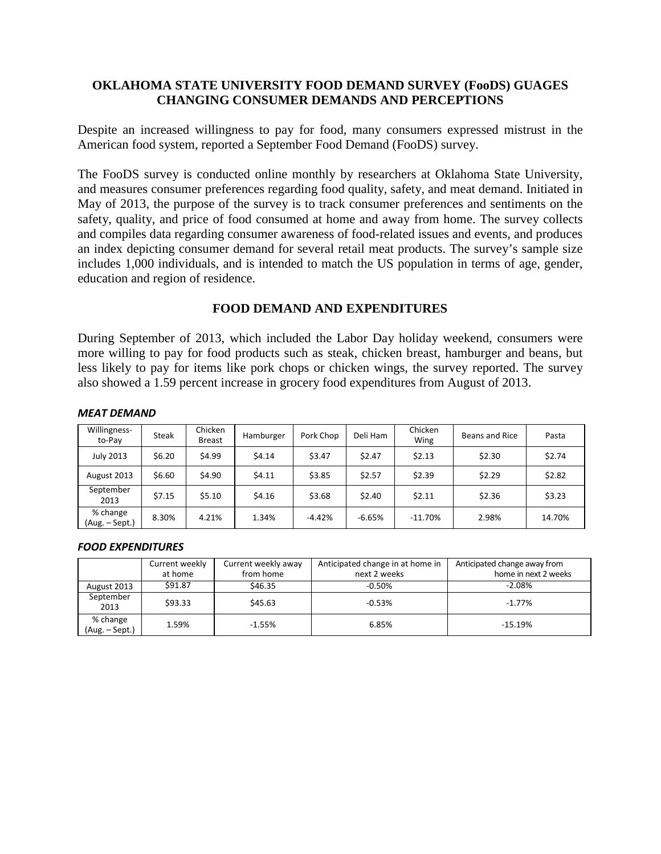# **OKLAHOMA STATE UNIVERSITY FOOD DEMAND SURVEY (FooDS) GUAGES CHANGING CONSUMER DEMANDS AND PERCEPTIONS**

Despite an increased willingness to pay for food, many consumers expressed mistrust in the American food system, reported a September Food Demand (FooDS) survey.

The FooDS survey is conducted online monthly by researchers at Oklahoma State University, and measures consumer preferences regarding food quality, safety, and meat demand. Initiated in May of 2013, the purpose of the survey is to track consumer preferences and sentiments on the safety, quality, and price of food consumed at home and away from home. The survey collects and compiles data regarding consumer awareness of food-related issues and events, and produces an index depicting consumer demand for several retail meat products. The survey's sample size includes 1,000 individuals, and is intended to match the US population in terms of age, gender, education and region of residence.

# **FOOD DEMAND AND EXPENDITURES**

During September of 2013, which included the Labor Day holiday weekend, consumers were more willing to pay for food products such as steak, chicken breast, hamburger and beans, but less likely to pay for items like pork chops or chicken wings, the survey reported. The survey also showed a 1.59 percent increase in grocery food expenditures from August of 2013.

| Willingness-<br>to-Pay     | <b>Steak</b> | Chicken<br><b>Breast</b> | Hamburger | Pork Chop | Deli Ham | Chicken<br>Wing | Beans and Rice | Pasta  |
|----------------------------|--------------|--------------------------|-----------|-----------|----------|-----------------|----------------|--------|
| <b>July 2013</b>           | \$6.20       | \$4.99                   | \$4.14    | \$3.47    | \$2.47   | \$2.13          | \$2.30         | \$2.74 |
| August 2013                | \$6.60       | \$4.90                   | \$4.11    | \$3.85    | \$2.57   | \$2.39          | \$2.29         | \$2.82 |
| September<br>2013          | \$7.15       | \$5.10                   | \$4.16    | \$3.68    | \$2.40   | \$2.11          | \$2.36         | \$3.23 |
| % change<br>(Aug. – Sept.) | 8.30%        | 4.21%                    | 1.34%     | $-4.42%$  | $-6.65%$ | $-11.70%$       | 2.98%          | 14.70% |

### *MEAT DEMAND*

#### *FOOD EXPENDITURES*

|                            | Current weekly<br>at home | Current weekly away<br>from home | Anticipated change in at home in<br>next 2 weeks | Anticipated change away from<br>home in next 2 weeks |
|----------------------------|---------------------------|----------------------------------|--------------------------------------------------|------------------------------------------------------|
| August 2013                | \$91.87                   | \$46.35                          | $-0.50%$                                         | $-2.08%$                                             |
| September<br>2013          | \$93.33                   | \$45.63                          | $-0.53%$                                         | $-1.77%$                                             |
| % change<br>(Aug. - Sept.) | 1.59%                     | $-1.55%$                         | 6.85%                                            | $-15.19%$                                            |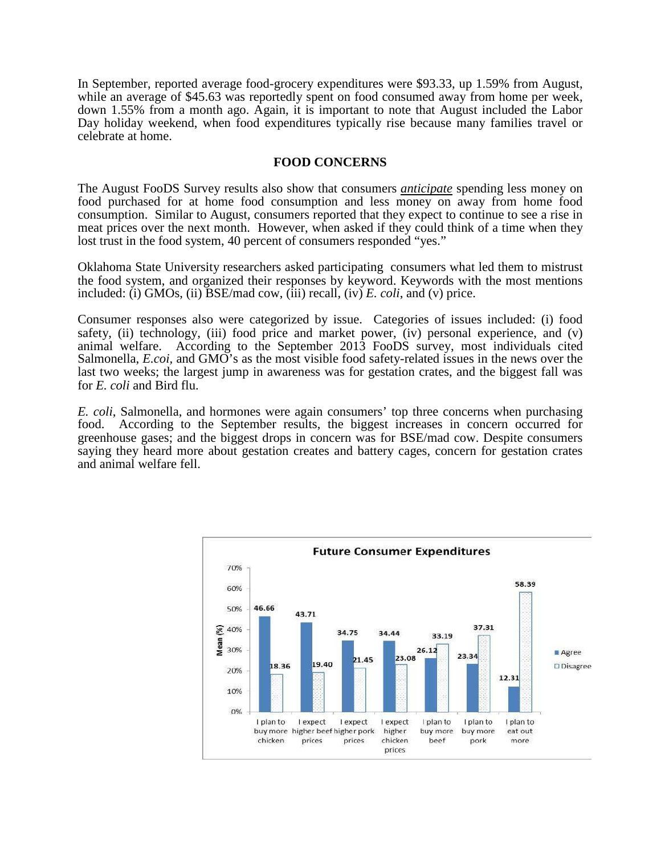In September, reported average food-grocery expenditures were \$93.33, up 1.59% from August, while an average of \$45.63 was reportedly spent on food consumed away from home per week, down 1.55% from a month ago. Again, it is important to note that August included the Labor Day holiday weekend, when food expenditures typically rise because many families travel or celebrate at home.

### **FOOD CONCERNS**

The August FooDS Survey results also show that consumers *anticipate* spending less money on food purchased for at home food consumption and less money on away from home food consumption. Similar to August, consumers reported that they expect to continue to see a rise in meat prices over the next month. However, when asked if they could think of a time when they lost trust in the food system, 40 percent of consumers responded "yes."

Oklahoma State University researchers asked participating consumers what led them to mistrust the food system, and organized their responses by keyword. Keywords with the most mentions included: (i) GMOs, (ii) BSE/mad cow, (iii) recall, (iv) *E. coli*, and (v) price.

Consumer responses also were categorized by issue. Categories of issues included: (i) food safety, (ii) technology, (iii) food price and market power, (iv) personal experience, and (v) animal welfare. According to the September 2013 FooDS survey, most individuals cited Salmonella, *E.coi,* and GMO's as the most visible food safety-related issues in the news over the last two weeks; the largest jump in awareness was for gestation crates, and the biggest fall was for *E. coli* and Bird flu.

*E. coli*, Salmonella, and hormones were again consumers' top three concerns when purchasing food. According to the September results, the biggest increases in concern occurred for greenhouse gases; and the biggest drops in concern was for BSE/mad cow. Despite consumers saying they heard more about gestation creates and battery cages, concern for gestation crates and animal welfare fell.